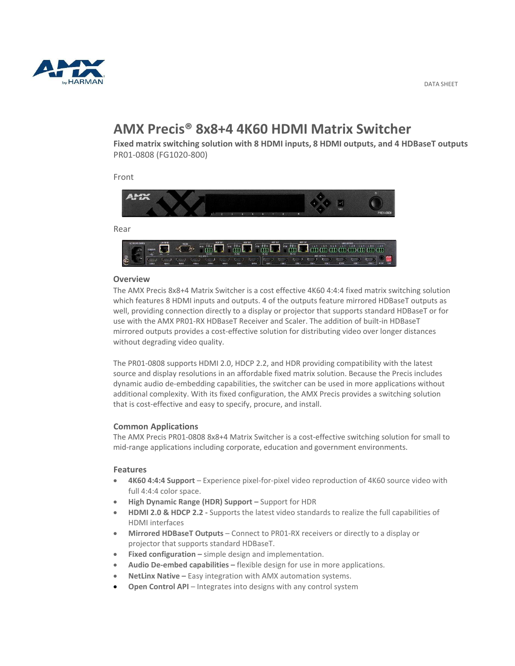

# **AMX Precis® 8x8+4 4K60 HDMI Matrix Switcher**

**Fixed matrix switching solution with 8 HDMI inputs, 8 HDMI outputs, and 4 HDBaseT outputs** PR01-0808 (FG1020-800)

Front



#### **Overview**

The AMX Precis 8x8+4 Matrix Switcher is a cost effective 4K60 4:4:4 fixed matrix switching solution which features 8 HDMI inputs and outputs. 4 of the outputs feature mirrored HDBaseT outputs as well, providing connection directly to a display or projector that supports standard HDBaseT or for use with the AMX PR01-RX HDBaseT Receiver and Scaler. The addition of built-in HDBaseT mirrored outputs provides a cost-effective solution for distributing video over longer distances without degrading video quality.

The PR01-0808 supports HDMI 2.0, HDCP 2.2, and HDR providing compatibility with the latest source and display resolutions in an affordable fixed matrix solution. Because the Precis includes dynamic audio de-embedding capabilities, the switcher can be used in more applications without additional complexity. With its fixed configuration, the AMX Precis provides a switching solution that is cost-effective and easy to specify, procure, and install.

### **Common Applications**

The AMX Precis PR01-0808 8x8+4 Matrix Switcher is a cost-effective switching solution for small to mid- range applications including corporate, education and government environments.

### **Features**

- **4K60 4:4:4 Support** Experience pixel-for-pixel video reproduction of 4K60 source video with full 4:4:4 color space.
- **High Dynamic Range (HDR) Support –** Support for HDR
- **HDMI 2.0 & HDCP 2.2 -** Supports the latest video standards to realize the full capabilities of HDMI interfaces
- **Mirrored HDBaseT Outputs** Connect to PR01-RX receivers or directly to a display or projector that supports standard HDBaseT.
- **Fixed configuration** simple design and implementation.
- **Audio De-embed capabilities** flexible design for use in more applications.
- **NetLinx Native –** Easy integration with AMX automation systems.
- **Open Control API** Integrates into designs with any control system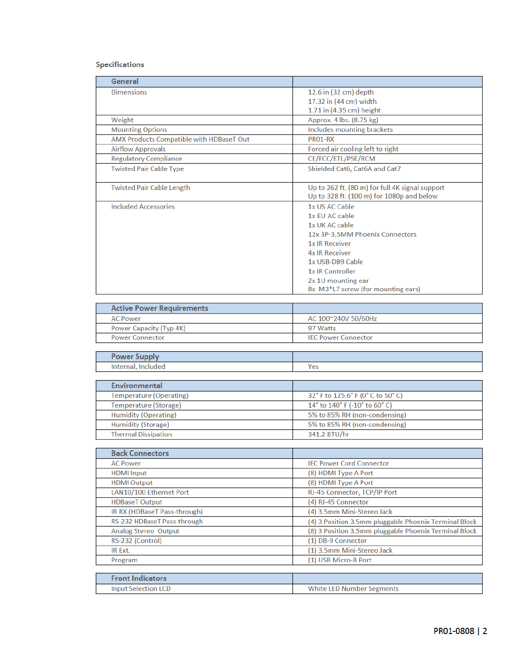## Specifications

| General                                  |                                                                                              |
|------------------------------------------|----------------------------------------------------------------------------------------------|
| <b>Dimensions</b>                        | 12.6 in (32 cm) depth                                                                        |
|                                          | 17.32 in (44 cm) width                                                                       |
|                                          | 1.71 in (4.35 cm) height                                                                     |
| Weight                                   | Approx. 4 lbs. (8.75 kg)                                                                     |
| <b>Mounting Options</b>                  | Includes mounting brackets                                                                   |
| AMX Products Compatible with HDBaseT Out | PR01-RX                                                                                      |
| <b>Airflow Approvals</b>                 | Forced air cooling left to right                                                             |
| <b>Regulatory Compliance</b>             | CE/FCC/ETL/PSE/RCM                                                                           |
| <b>Twisted Pair Cable Type</b>           | Shielded Cat6, Cat6A and Cat7                                                                |
| <b>Twisted Pair Cable Length</b>         | Up to 262 ft. (80 m) for full 4K signal support<br>Up to 328 ft. (100 m) for 1080p and below |
| <b>Included Accessories</b>              | 1x US AC Cable                                                                               |
|                                          | 1x FU AC cable                                                                               |
|                                          | 1x UK AC cable                                                                               |
|                                          | 12x 3P-3.5MM Phoenix Connectors                                                              |
|                                          | <b>1x IR Receiver</b>                                                                        |
|                                          | <b>4x IR Receiver</b>                                                                        |
|                                          | 1x USB-DB9 Cable                                                                             |
|                                          | 1x IR Controller                                                                             |
|                                          | 2x 1U mounting ear                                                                           |
|                                          | 8x M3*L7 screw (for mounting ears)                                                           |

| <b>Active Power Requirements</b> |                            |
|----------------------------------|----------------------------|
| <b>AC Power</b>                  | AC 100~240V 50/60Hz        |
| Power Capacity (Typ 4K)          | 97 Watts                   |
| <b>Power Connector</b>           | <b>IEC Power Connector</b> |

| <b>OWEI JUP</b> |     |
|-----------------|-----|
| <b>Interna</b>  | Yes |

| Environmental               |                                   |
|-----------------------------|-----------------------------------|
| Temperature (Operating)     | 32° F to 125.6° F (0° C to 50° C) |
| Temperature (Storage)       | 14° to 140° F (-10° to 60° C)     |
| <b>Humidity (Operating)</b> | 5% to 85% RH (non-condensing)     |
| <b>Humidity (Storage)</b>   | 5% to 85% RH (non-condensing)     |
| <b>Thermal Dissipation</b>  | 341.2 BTU/hr                      |

| <b>Back Connectors</b>       |                                                       |
|------------------------------|-------------------------------------------------------|
| <b>AC Power</b>              | <b>IEC Power Cord Connector</b>                       |
| <b>HDMI</b> Input            | (8) HDMI Type A Port                                  |
| <b>HDMI</b> Output           | (8) HDMI Type A Port                                  |
| LAN10/100 Ethernet Port      | RJ-45 Connector, TCP/IP Port                          |
| <b>HDBaseT Output</b>        | (4) RJ-45 Connector                                   |
| IR RX (HDBaseT Pass-through) | (4) 3.5mm Mini-Stereo Jack                            |
| RS-232 HDBaseT Pass-through  | (4) 3 Position 3.5mm pluggable Phoenix Terminal Block |
| <b>Analog Stereo Output</b>  | (8) 3 Position 3.5mm pluggable Phoenix Terminal Block |
| RS-232 (Control)             | (1) DB-9 Connector                                    |
| IR Ext.                      | (1) 3.5mm Mini-Stereo Jack                            |
| Program                      | (1) USB Micro-B Port                                  |
|                              |                                                       |
| <b>Front Indicators</b>      |                                                       |
| <b>Input Selection LCD</b>   | <b>White LED Number Segments</b>                      |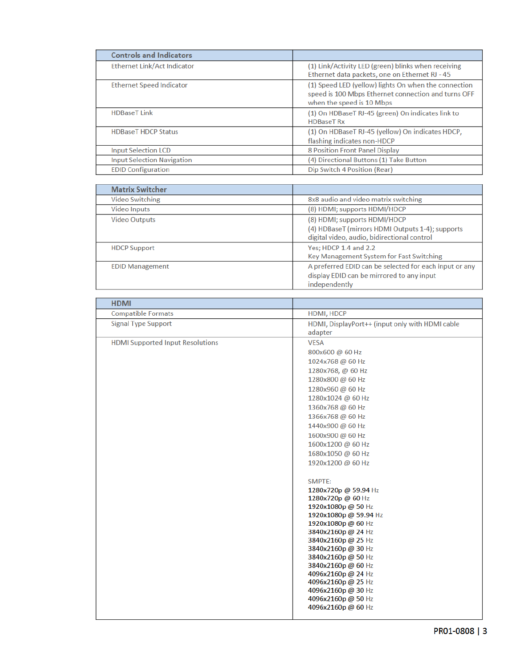| <b>Controls and Indicators</b>     |                                                                                                                                          |
|------------------------------------|------------------------------------------------------------------------------------------------------------------------------------------|
| <b>Ethernet Link/Act Indicator</b> | (1) Link/Activity LED (green) blinks when receiving<br>Ethernet data packets, one on Ethernet RJ - 45                                    |
| <b>Ethernet Speed Indicator</b>    | (1) Speed LED (yellow) lights On when the connection<br>speed is 100 Mbps Ethernet connection and turns OFF<br>when the speed is 10 Mbps |
| <b>HDBaseT Link</b>                | (1) On HDBaseT RJ-45 (green) On indicates link to<br><b>HDBaseT Rx</b>                                                                   |
| <b>HDBaseT HDCP Status</b>         | (1) On HDBaseT RJ-45 (yellow) On indicates HDCP,<br>flashing indicates non-HDCP                                                          |
| <b>Input Selection LCD</b>         | <b>8 Position Front Panel Display</b>                                                                                                    |
| <b>Input Selection Navigation</b>  | (4) Directional Buttons (1) Take Button                                                                                                  |
| <b>EDID Configuration</b>          | Dip Switch 4 Position (Rear)                                                                                                             |

| <b>Matrix Switcher</b> |                                                                                                                                 |
|------------------------|---------------------------------------------------------------------------------------------------------------------------------|
| <b>Video Switching</b> | 8x8 audio and video matrix switching                                                                                            |
| <b>Video Inputs</b>    | (8) HDMI; supports HDMI/HDCP                                                                                                    |
| <b>Video Outputs</b>   | (8) HDMI; supports HDMI/HDCP<br>(4) HDBaseT (mirrors HDMI Outputs 1-4); supports<br>digital video, audio, bidirectional control |
| <b>HDCP Support</b>    | Yes; HDCP 1.4 and 2.2<br>Key Management System for Fast Switching                                                               |
| <b>EDID Management</b> | A preferred EDID can be selected for each input or any<br>display EDID can be mirrored to any input<br>independently            |

| <b>Compatible Formats</b><br>HDMI, HDCP                                       |  |
|-------------------------------------------------------------------------------|--|
|                                                                               |  |
| <b>Signal Type Support</b><br>HDMI, DisplayPort++ (input only with HDMI cable |  |
| adapter                                                                       |  |
| <b>HDMI Supported Input Resolutions</b><br><b>VESA</b>                        |  |
| 800x600 @ 60 Hz                                                               |  |
| 1024x768 @ 60 Hz                                                              |  |
| 1280x768, @ 60 Hz                                                             |  |
| 1280x800 @ 60 Hz                                                              |  |
| 1280x960 @ 60 Hz                                                              |  |
| 1280x1024 @ 60 Hz                                                             |  |
| 1360x768 @ 60 Hz                                                              |  |
| 1366x768 @ 60 Hz                                                              |  |
| 1440x900 @ 60 Hz                                                              |  |
| 1600x900 @ 60 Hz                                                              |  |
| 1600x1200 @ 60 Hz                                                             |  |
| 1680x1050 @ 60 Hz                                                             |  |
| 1920x1200 @ 60 Hz                                                             |  |
| SMPTE:                                                                        |  |
| 1280x720p @ 59.94 Hz                                                          |  |
| 1280x720p @ 60 Hz                                                             |  |
| 1920x1080p @ 50 Hz                                                            |  |
| 1920x1080p @ 59.94 Hz                                                         |  |
| 1920x1080p @ 60 Hz<br>3840x2160p @ 24 Hz                                      |  |
| 3840x2160p @ 25 Hz                                                            |  |
| 3840x2160p @ 30 Hz                                                            |  |
| 3840x2160p@50 Hz                                                              |  |
| 3840x2160p @ 60 Hz                                                            |  |
| 4096x2160p @ 24 Hz                                                            |  |
| 4096x2160p @ 25 Hz                                                            |  |
| 4096x2160p @ 30 Hz                                                            |  |
| 4096x2160p @ 50 Hz                                                            |  |
| 4096x2160p @ 60 Hz                                                            |  |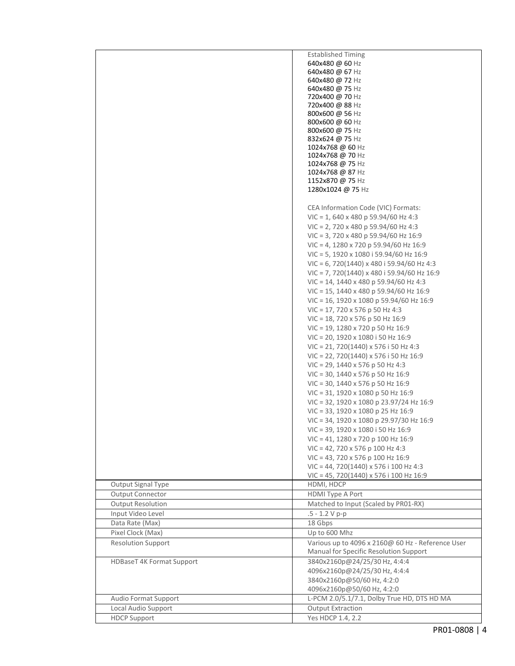|                           | <b>Established Timing</b>                          |
|---------------------------|----------------------------------------------------|
|                           | 640x480 @ 60 Hz                                    |
|                           | 640x480 @ 67 Hz                                    |
|                           | 640x480 @ 72 Hz                                    |
|                           | 640x480 @ 75 Hz                                    |
|                           | 720x400 @ 70 Hz                                    |
|                           | 720x400 @ 88 Hz                                    |
|                           | 800x600 @ 56 Hz                                    |
|                           | 800x600 @ 60 Hz<br>800x600 @ 75 Hz                 |
|                           | 832x624 @ 75 Hz                                    |
|                           | 1024x768 @ 60 Hz                                   |
|                           | 1024x768 @ 70 Hz                                   |
|                           | 1024x768 @ 75 Hz                                   |
|                           | 1024x768 @ 87 Hz                                   |
|                           | 1152x870 @ 75 Hz                                   |
|                           | 1280x1024 @ 75 Hz                                  |
|                           |                                                    |
|                           | CEA Information Code (VIC) Formats:                |
|                           | $VIC = 1,640 \times 480 p 59.94/60 Hz 4:3$         |
|                           | $VIC = 2$ , 720 x 480 p 59.94/60 Hz 4:3            |
|                           | VIC = 3, 720 x 480 p 59.94/60 Hz 16:9              |
|                           | VIC = 4, 1280 x 720 p 59.94/60 Hz 16:9             |
|                           | VIC = 5, 1920 x 1080 i 59.94/60 Hz 16:9            |
|                           | $VIC = 6$ , 720(1440) x 480 i 59.94/60 Hz 4:3      |
|                           | $VIC = 7, 720(1440) \times 480$ i 59.94/60 Hz 16:9 |
|                           | $VIC = 14$ , 1440 x 480 p 59.94/60 Hz 4:3          |
|                           | $VIC = 15$ , 1440 x 480 p 59.94/60 Hz 16:9         |
|                           | VIC = 16, 1920 x 1080 p 59.94/60 Hz 16:9           |
|                           | $VIC = 17, 720 \times 576$ p 50 Hz 4:3             |
|                           | $VIC = 18$ , 720 x 576 p 50 Hz 16:9                |
|                           |                                                    |
|                           | $VIC = 19$ , 1280 x 720 p 50 Hz 16:9               |
|                           | VIC = 20, 1920 x 1080 i 50 Hz 16:9                 |
|                           | $VIC = 21, 720(1440) \times 576$ i 50 Hz 4:3       |
|                           | $VIC = 22, 720(1440) \times 576$ i 50 Hz 16:9      |
|                           | $VIC = 29$ , 1440 x 576 p 50 Hz 4:3                |
|                           | $VIC = 30$ , 1440 x 576 p 50 Hz 16:9               |
|                           | $VIC = 30$ , 1440 x 576 p 50 Hz 16:9               |
|                           | VIC = 31, 1920 x 1080 p 50 Hz 16:9                 |
|                           | VIC = 32, 1920 x 1080 p 23.97/24 Hz 16:9           |
|                           | VIC = 33, 1920 x 1080 p 25 Hz 16:9                 |
|                           | VIC = 34, 1920 x 1080 p 29.97/30 Hz 16:9           |
|                           | VIC = 39, 1920 x 1080 i 50 Hz 16:9                 |
|                           | VIC = 41, 1280 x 720 p 100 Hz 16:9                 |
|                           | VIC = 42, 720 x 576 p 100 Hz 4:3                   |
|                           | VIC = 43, 720 x 576 p 100 Hz 16:9                  |
|                           | VIC = 44, 720(1440) x 576 i 100 Hz 4:3             |
|                           | $VIC = 45, 720(1440) \times 576$ i 100 Hz 16:9     |
| Output Signal Type        | HDMI, HDCP                                         |
| <b>Output Connector</b>   | HDMI Type A Port                                   |
| <b>Output Resolution</b>  | Matched to Input (Scaled by PR01-RX)               |
| Input Video Level         | $.5 - 1.2 V p-p$                                   |
| Data Rate (Max)           | 18 Gbps                                            |
| Pixel Clock (Max)         | Up to 600 Mhz                                      |
| <b>Resolution Support</b> | Various up to 4096 x 2160@ 60 Hz - Reference User  |
|                           | Manual for Specific Resolution Support             |
| HDBaseT 4K Format Support | 3840x2160p@24/25/30 Hz, 4:4:4                      |
|                           | 4096x2160p@24/25/30 Hz, 4:4:4                      |
|                           | 3840x2160p@50/60 Hz, 4:2:0                         |
|                           | 4096x2160p@50/60 Hz, 4:2:0                         |
| Audio Format Support      | L-PCM 2.0/5.1/7.1, Dolby True HD, DTS HD MA        |
| Local Audio Support       | <b>Output Extraction</b>                           |
| <b>HDCP Support</b>       | Yes HDCP 1.4, 2.2                                  |
|                           |                                                    |